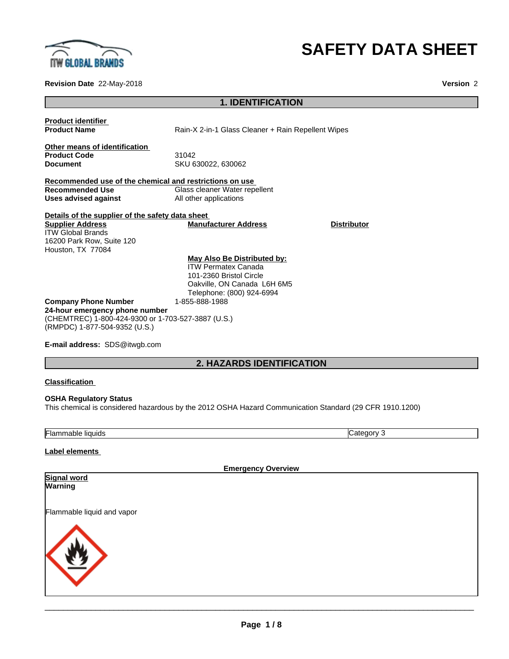

# **SAFETY DATA SHEET**

**Revision Date** 22-May-2018 **Version** 2

## **1. IDENTIFICATION**

| <b>Product identifier</b>                                                                                             |                                                                                                                                                  |                    |
|-----------------------------------------------------------------------------------------------------------------------|--------------------------------------------------------------------------------------------------------------------------------------------------|--------------------|
| <b>Product Name</b>                                                                                                   | Rain-X 2-in-1 Glass Cleaner + Rain Repellent Wipes                                                                                               |                    |
| Other means of identification<br><b>Product Code</b><br><b>Document</b>                                               | 31042<br>SKU 630022, 630062                                                                                                                      |                    |
| Recommended use of the chemical and restrictions on use                                                               |                                                                                                                                                  |                    |
| <b>Recommended Use</b>                                                                                                | Glass cleaner Water repellent                                                                                                                    |                    |
| Uses advised against                                                                                                  | All other applications                                                                                                                           |                    |
| Details of the supplier of the safety data sheet                                                                      |                                                                                                                                                  |                    |
| <b>Supplier Address</b><br><b>ITW Global Brands</b><br>16200 Park Row, Suite 120<br>Houston, TX 77084                 | <b>Manufacturer Address</b>                                                                                                                      | <b>Distributor</b> |
|                                                                                                                       | May Also Be Distributed by:<br><b>ITW Permatex Canada</b><br>101-2360 Bristol Circle<br>Oakville, ON Canada L6H 6M5<br>Telephone: (800) 924-6994 |                    |
| <b>Company Phone Number</b>                                                                                           | 1-855-888-1988                                                                                                                                   |                    |
| 24-hour emergency phone number<br>(CHEMTREC) 1-800-424-9300 or 1-703-527-3887 (U.S.)<br>(RMPDC) 1-877-504-9352 (U.S.) |                                                                                                                                                  |                    |
| <b>E-mail address: SDS@itwgb.com</b>                                                                                  |                                                                                                                                                  |                    |

## **2. HAZARDS IDENTIFICATION**

#### **Classification**

### **OSHA Regulatory Status** This chemical is considered hazardous by the 2012 OSHA Hazard Communication Standard (29 CFR 1910.1200)

Flammable liquids Category 3

#### **Label elements**

| <b>Emergency Overview</b>  |
|----------------------------|
| <b>Signal word</b>         |
| Warning                    |
|                            |
| Flammable liquid and vapor |
|                            |
|                            |
|                            |
|                            |
|                            |
|                            |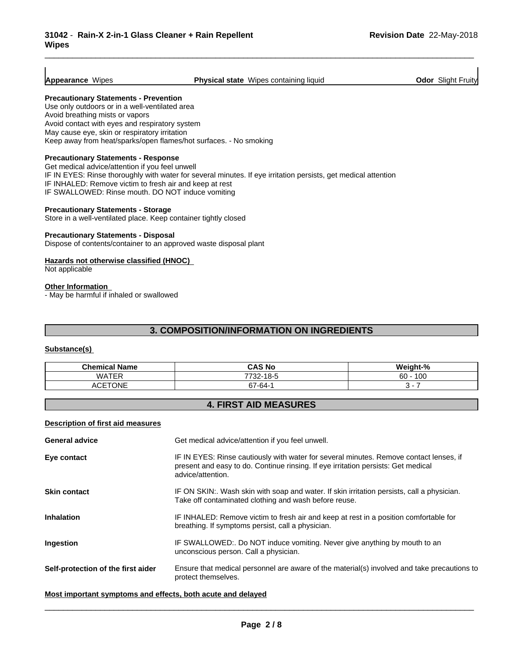#### **Appearance** Wipes **Physical state** Wipes containing liquid **Odor** Slight Fruity

\_\_\_\_\_\_\_\_\_\_\_\_\_\_\_\_\_\_\_\_\_\_\_\_\_\_\_\_\_\_\_\_\_\_\_\_\_\_\_\_\_\_\_\_\_\_\_\_\_\_\_\_\_\_\_\_\_\_\_\_\_\_\_\_\_\_\_\_\_\_\_\_\_\_\_\_\_\_\_\_\_\_\_\_\_\_\_\_\_\_\_\_\_

#### **Precautionary Statements - Prevention**

Use only outdoors or in a well-ventilated area Avoid breathing mists or vapors Avoid contact with eyes and respiratory system May cause eye, skin or respiratory irritation Keep away from heat/sparks/open flames/hot surfaces. - No smoking

#### **Precautionary Statements - Response**

Get medical advice/attention if you feel unwell IF IN EYES: Rinse thoroughly with water for several minutes. If eye irritation persists, get medical attention IF INHALED: Remove victim to fresh air and keep at rest IF SWALLOWED: Rinse mouth. DO NOT induce vomiting

#### **Precautionary Statements - Storage**

Store in a well-ventilated place. Keep container tightly closed

#### **Precautionary Statements - Disposal**

Dispose of contents/container to an approved waste disposal plant

#### **Hazards not otherwise classified (HNOC)**

Not applicable

#### **Other Information**

- May be harmful if inhaled or swallowed

#### **3. COMPOSITION/INFORMATION ON INGREDIENTS**

#### **Substance(s)**

| .<br>$ -$<br>Chemical<br>Name | .<br>ຽ NC<br>CA.                  | $\cdots$<br>.∡ n/<br>41 F F |
|-------------------------------|-----------------------------------|-----------------------------|
| <b>WATER</b>                  | 10E<br>7700<br>$\sim$<br>∵ےد ،    | $\sqrt{2}$<br>60<br>טט      |
| <b>CETONE</b><br>^''<br>ושח   | $\sim$<br>$\sim$ $\sim$<br>67-64- |                             |

#### **4. FIRST AID MEASURES**

#### **Description of first aid measures**

| <b>General advice</b>              | Get medical advice/attention if you feel unwell.                                                                                                                                                 |  |
|------------------------------------|--------------------------------------------------------------------------------------------------------------------------------------------------------------------------------------------------|--|
| Eye contact                        | IF IN EYES: Rinse cautiously with water for several minutes. Remove contact lenses, if<br>present and easy to do. Continue rinsing. If eye irritation persists: Get medical<br>advice/attention. |  |
| <b>Skin contact</b>                | IF ON SKIN:. Wash skin with soap and water. If skin irritation persists, call a physician.<br>Take off contaminated clothing and wash before reuse.                                              |  |
| <b>Inhalation</b>                  | IF INHALED: Remove victim to fresh air and keep at rest in a position comfortable for<br>breathing. If symptoms persist, call a physician.                                                       |  |
| <b>Ingestion</b>                   | IF SWALLOWED:. Do NOT induce vomiting. Never give anything by mouth to an<br>unconscious person. Call a physician.                                                                               |  |
| Self-protection of the first aider | Ensure that medical personnel are aware of the material(s) involved and take precautions to<br>protect themselves.                                                                               |  |
|                                    |                                                                                                                                                                                                  |  |

#### **Most important symptoms and effects, both acute and delayed**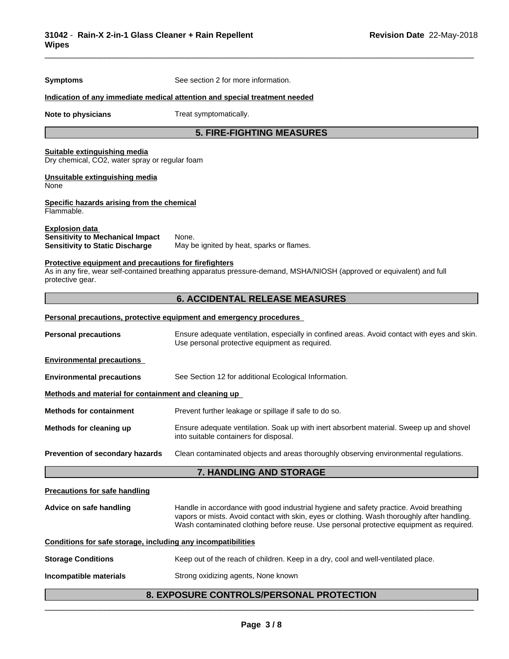| <b>Symptoms</b>                                                                                            | See section 2 for more information.                                                                                                                                                                                                                                              |
|------------------------------------------------------------------------------------------------------------|----------------------------------------------------------------------------------------------------------------------------------------------------------------------------------------------------------------------------------------------------------------------------------|
|                                                                                                            | Indication of any immediate medical attention and special treatment needed                                                                                                                                                                                                       |
| Note to physicians                                                                                         | Treat symptomatically.                                                                                                                                                                                                                                                           |
|                                                                                                            | <b>5. FIRE-FIGHTING MEASURES</b>                                                                                                                                                                                                                                                 |
| Suitable extinguishing media<br>Dry chemical, CO2, water spray or regular foam                             |                                                                                                                                                                                                                                                                                  |
| Unsuitable extinguishing media<br>None                                                                     |                                                                                                                                                                                                                                                                                  |
| Specific hazards arising from the chemical<br>Flammable.                                                   |                                                                                                                                                                                                                                                                                  |
| <b>Explosion data</b><br><b>Sensitivity to Mechanical Impact</b><br><b>Sensitivity to Static Discharge</b> | None.<br>May be ignited by heat, sparks or flames.                                                                                                                                                                                                                               |
| <b>Protective equipment and precautions for firefighters</b><br>protective gear.                           | As in any fire, wear self-contained breathing apparatus pressure-demand, MSHA/NIOSH (approved or equivalent) and full                                                                                                                                                            |
|                                                                                                            | <b>6. ACCIDENTAL RELEASE MEASURES</b>                                                                                                                                                                                                                                            |
|                                                                                                            | Personal precautions, protective equipment and emergency procedures                                                                                                                                                                                                              |
| <b>Personal precautions</b>                                                                                | Ensure adequate ventilation, especially in confined areas. Avoid contact with eyes and skin.<br>Use personal protective equipment as required.                                                                                                                                   |
| <b>Environmental precautions</b>                                                                           |                                                                                                                                                                                                                                                                                  |
| <b>Environmental precautions</b>                                                                           | See Section 12 for additional Ecological Information.                                                                                                                                                                                                                            |
| Methods and material for containment and cleaning up                                                       |                                                                                                                                                                                                                                                                                  |
| <b>Methods for containment</b>                                                                             | Prevent further leakage or spillage if safe to do so.                                                                                                                                                                                                                            |
| Methods for cleaning up                                                                                    | Ensure adequate ventilation. Soak up with inert absorbent material. Sweep up and shovel<br>into suitable containers for disposal.                                                                                                                                                |
| Prevention of secondary hazards                                                                            | Clean contaminated objects and areas thoroughly observing environmental regulations.                                                                                                                                                                                             |
|                                                                                                            | 7. HANDLING AND STORAGE                                                                                                                                                                                                                                                          |
| <b>Precautions for safe handling</b>                                                                       |                                                                                                                                                                                                                                                                                  |
| Advice on safe handling                                                                                    | Handle in accordance with good industrial hygiene and safety practice. Avoid breathing<br>vapors or mists. Avoid contact with skin, eyes or clothing. Wash thoroughly after handling.<br>Wash contaminated clothing before reuse. Use personal protective equipment as required. |
| Conditions for safe storage, including any incompatibilities                                               |                                                                                                                                                                                                                                                                                  |
| <b>Storage Conditions</b>                                                                                  | Keep out of the reach of children. Keep in a dry, cool and well-ventilated place.                                                                                                                                                                                                |
|                                                                                                            |                                                                                                                                                                                                                                                                                  |

\_\_\_\_\_\_\_\_\_\_\_\_\_\_\_\_\_\_\_\_\_\_\_\_\_\_\_\_\_\_\_\_\_\_\_\_\_\_\_\_\_\_\_\_\_\_\_\_\_\_\_\_\_\_\_\_\_\_\_\_\_\_\_\_\_\_\_\_\_\_\_\_\_\_\_\_\_\_\_\_\_\_\_\_\_\_\_\_\_\_\_\_\_

**Incompatible materials Strong oxidizing agents, None known** 

## **8. EXPOSURE CONTROLS/PERSONAL PROTECTION**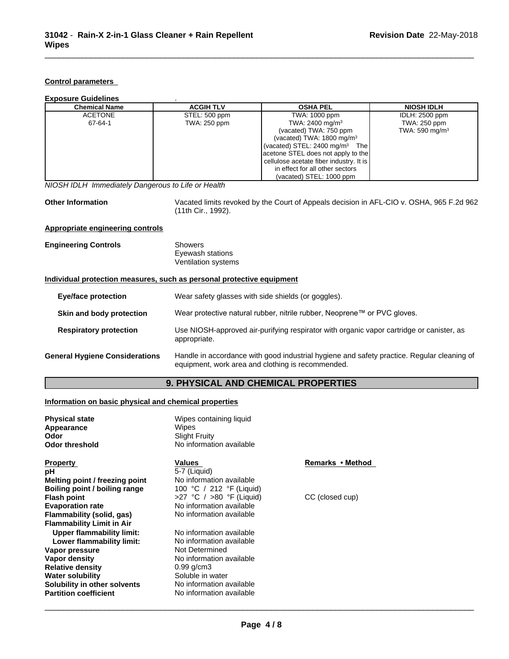#### **Control parameters**

| <b>Exposure Guidelines</b> |                  |                                            |                       |  |
|----------------------------|------------------|--------------------------------------------|-----------------------|--|
| <b>Chemical Name</b>       | <b>ACGIH TLV</b> | <b>OSHA PEL</b>                            | <b>NIOSH IDLH</b>     |  |
| <b>ACETONE</b>             | STEL: 500 ppm    | TWA: 1000 ppm                              | <b>IDLH: 2500 ppm</b> |  |
| 67-64-1                    | TWA: 250 ppm     | TWA: 2400 mg/m <sup>3</sup>                | TWA: 250 ppm          |  |
|                            |                  | (vacated) TWA: 750 ppm                     | TWA: 590 mg/m $3$     |  |
|                            |                  | (vacated) TWA: $1800 \text{ mg/m}^3$       |                       |  |
|                            |                  | (vacated) STEL: 2400 mg/m <sup>3</sup> The |                       |  |
|                            |                  | acetone STEL does not apply to the         |                       |  |
|                            |                  | cellulose acetate fiber industry. It is    |                       |  |
|                            |                  | in effect for all other sectors            |                       |  |
|                            |                  | (vacated) STEL: 1000 ppm                   |                       |  |

*NIOSH IDLH Immediately Dangerous to Life or Health*

**Other Information** Vacated limits revoked by the Court of Appeals decision in AFL-CIO v.OSHA, 965 F.2d 962 (11th Cir., 1992).

\_\_\_\_\_\_\_\_\_\_\_\_\_\_\_\_\_\_\_\_\_\_\_\_\_\_\_\_\_\_\_\_\_\_\_\_\_\_\_\_\_\_\_\_\_\_\_\_\_\_\_\_\_\_\_\_\_\_\_\_\_\_\_\_\_\_\_\_\_\_\_\_\_\_\_\_\_\_\_\_\_\_\_\_\_\_\_\_\_\_\_\_\_

#### **Appropriate engineering controls**

| <b>Engineering Controls</b> | Showers             |  |
|-----------------------------|---------------------|--|
|                             | Eyewash stations    |  |
|                             | Ventilation systems |  |

#### **Individual protection measures, such as personal protective equipment**

| Eye/face protection                   | Wear safety glasses with side shields (or goggles).                                                                                             |  |
|---------------------------------------|-------------------------------------------------------------------------------------------------------------------------------------------------|--|
| Skin and body protection              | Wear protective natural rubber, nitrile rubber, Neoprene™ or PVC gloves.                                                                        |  |
| <b>Respiratory protection</b>         | Use NIOSH-approved air-purifying respirator with organic vapor cartridge or canister, as<br>appropriate.                                        |  |
| <b>General Hygiene Considerations</b> | Handle in accordance with good industrial hygiene and safety practice. Regular cleaning of<br>equipment, work area and clothing is recommended. |  |

## **9. PHYSICAL AND CHEMICAL PROPERTIES**

#### **Information on basic physical and chemical properties**

| <b>Physical state</b><br>Appearance<br>Odor<br><b>Odor threshold</b> | Wipes containing liquid<br>Wipes<br><b>Slight Fruity</b><br>No information available |                  |  |
|----------------------------------------------------------------------|--------------------------------------------------------------------------------------|------------------|--|
| <b>Property</b>                                                      | Values                                                                               | Remarks • Method |  |
| рH                                                                   | 5-7 (Liquid)                                                                         |                  |  |
| Melting point / freezing point                                       | No information available                                                             |                  |  |
| Boiling point / boiling range                                        | 100 °C / 212 °F (Liquid)                                                             |                  |  |
| <b>Flash point</b>                                                   | >27 °C / >80 °F (Liquid)                                                             | CC (closed cup)  |  |
| <b>Evaporation rate</b>                                              | No information available                                                             |                  |  |
| Flammability (solid, gas)                                            | No information available                                                             |                  |  |
| <b>Flammability Limit in Air</b>                                     |                                                                                      |                  |  |
| <b>Upper flammability limit:</b>                                     | No information available                                                             |                  |  |
| Lower flammability limit:                                            | No information available                                                             |                  |  |
| Vapor pressure                                                       | Not Determined                                                                       |                  |  |
| Vapor density                                                        | No information available                                                             |                  |  |
| <b>Relative density</b>                                              | $0.99$ g/cm3                                                                         |                  |  |
| <b>Water solubility</b>                                              | Soluble in water                                                                     |                  |  |
| Solubility in other solvents                                         | No information available                                                             |                  |  |
| <b>Partition coefficient</b>                                         | No information available                                                             |                  |  |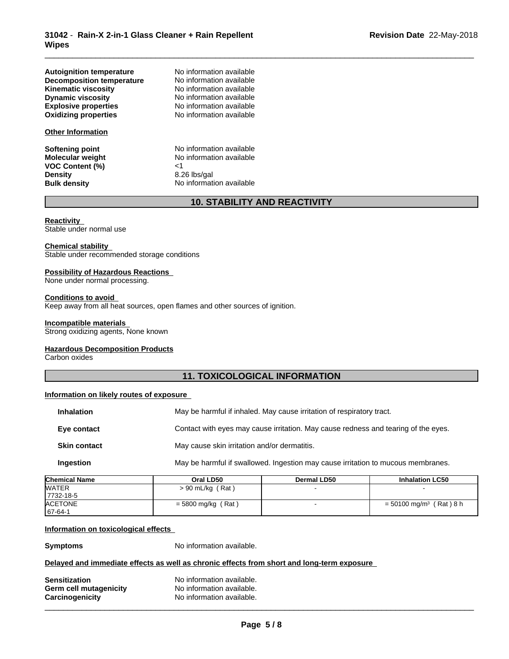|                                                                     | <b>10. STABILITY AND REACTIVITY</b> |
|---------------------------------------------------------------------|-------------------------------------|
| <b>Bulk density</b>                                                 | No information available            |
| <b>Density</b>                                                      | 8.26 lbs/gal                        |
| <b>VOC Content (%)</b>                                              | ا>                                  |
| <b>Molecular weight</b>                                             | No information available            |
| Softening point                                                     | No information available            |
| <b>Other Information</b>                                            |                                     |
| <b>Oxidizing properties</b>                                         | No information available            |
| <b>Explosive properties</b>                                         | No information available            |
| <b>Dynamic viscosity</b>                                            | No information available            |
| <b>Kinematic viscosity</b>                                          | No information available            |
| <b>Autoignition temperature</b><br><b>Decomposition temperature</b> | No information available            |
|                                                                     | No information available            |

## **10. STABILITY AND REACTIVITY**

\_\_\_\_\_\_\_\_\_\_\_\_\_\_\_\_\_\_\_\_\_\_\_\_\_\_\_\_\_\_\_\_\_\_\_\_\_\_\_\_\_\_\_\_\_\_\_\_\_\_\_\_\_\_\_\_\_\_\_\_\_\_\_\_\_\_\_\_\_\_\_\_\_\_\_\_\_\_\_\_\_\_\_\_\_\_\_\_\_\_\_\_\_

#### **Reactivity**

Stable under normal use

#### **Chemical stability**

Stable under recommended storage conditions

#### **Possibility of Hazardous Reactions**

None under normal processing.

#### **Conditions to avoid**

Keep away from all heat sources, open flames and other sources of ignition.

#### **Incompatible materials**

Strong oxidizing agents, None known

#### **Hazardous Decomposition Products**

Carbon oxides

#### **11. TOXICOLOGICAL INFORMATION**

#### **Information on likely routes of exposure**

| <b>Inhalation</b>   | May be harmful if inhaled. May cause irritation of respiratory tract.              |
|---------------------|------------------------------------------------------------------------------------|
| Eye contact         | Contact with eyes may cause irritation. May cause redness and tearing of the eyes. |
| <b>Skin contact</b> | May cause skin irritation and/or dermatitis.                                       |
| Ingestion           | May be harmful if swallowed. Ingestion may cause irritation to mucous membranes.   |

| <b>Chemical Name</b> | Oral LD50            | Dermal LD50 | <b>Inhalation LC50</b>                |
|----------------------|----------------------|-------------|---------------------------------------|
| <b>WATER</b>         | $> 90$ mL/kg (Rat)   |             |                                       |
| 7732-18-5            |                      |             |                                       |
| <b>ACETONE</b>       | $=$ 5800 mg/kg (Rat) |             | $=$ 50100 mg/m <sup>3</sup> (Rat) 8 h |
| $167 - 64 - 1$       |                      |             |                                       |

#### **Information on toxicological effects**

**Symptoms** No information available.

#### **Delayed and immediate effects as well as chronic effects from short and long-term exposure**

| <b>Sensitization</b>   | No information available. |
|------------------------|---------------------------|
| Germ cell mutagenicity | No information available. |
| Carcinogenicity        | No information available. |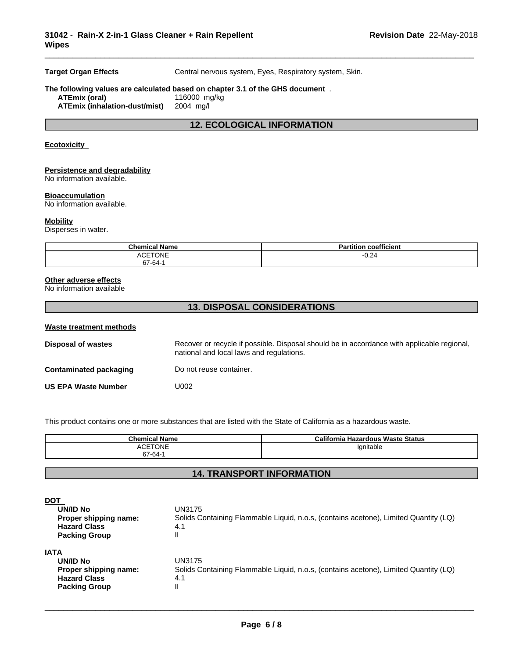**Target Organ Effects** Central nervous system, Eyes, Respiratory system, Skin.

\_\_\_\_\_\_\_\_\_\_\_\_\_\_\_\_\_\_\_\_\_\_\_\_\_\_\_\_\_\_\_\_\_\_\_\_\_\_\_\_\_\_\_\_\_\_\_\_\_\_\_\_\_\_\_\_\_\_\_\_\_\_\_\_\_\_\_\_\_\_\_\_\_\_\_\_\_\_\_\_\_\_\_\_\_\_\_\_\_\_\_\_\_

#### **The following values are calculated based on chapter 3.1 of the GHS document** . **ATEmix (oral)** 116000 mg<br>**ATEmix (inhalation-dust/mist)** 2004 mg/l **ATEmix** (inhalation-dust/mist)

### **12. ECOLOGICAL INFORMATION**

#### **Ecotoxicity**

#### **Persistence and degradability**

No information available.

#### **Bioaccumulation**

No information available.

#### **Mobility**

Disperses in water.

| <b>Chemical Name</b> | <b>Partition coefficient</b> |
|----------------------|------------------------------|
| <b>ACETONE</b>       | $\sim$<br>J.24               |
| 67-64-1              |                              |

#### **Other adverse effects**

No information available

## **13. DISPOSAL CONSIDERATIONS**

| Waste treatment methods    |                                                                                                                                        |
|----------------------------|----------------------------------------------------------------------------------------------------------------------------------------|
| <b>Disposal of wastes</b>  | Recover or recycle if possible. Disposal should be in accordance with applicable regional.<br>national and local laws and regulations. |
| Contaminated packaging     | Do not reuse container.                                                                                                                |
| <b>US EPA Waste Number</b> | U002                                                                                                                                   |

This product contains one or more substances that are listed with the State of California as a hazardous waste.

| <b>Chemical Name</b>                                  | California<br>ا Hazardous Waste Status |
|-------------------------------------------------------|----------------------------------------|
| TONF<br>$\triangle$ $\cap$ $\Gamma$<br>. .<br>67-64-1 | 'gnitable                              |

### **14. TRANSPORT INFORMATION**

| <b>DOT</b>            |                                                                                      |
|-----------------------|--------------------------------------------------------------------------------------|
| UN/ID No              | UN3175                                                                               |
| Proper shipping name: | Solids Containing Flammable Liquid, n.o.s, (contains acetone), Limited Quantity (LQ) |
| <b>Hazard Class</b>   | 4.1                                                                                  |
| <b>Packing Group</b>  | Ш                                                                                    |
| <b>IATA</b>           |                                                                                      |
| UN/ID No              | UN3175                                                                               |
| Proper shipping name: | Solids Containing Flammable Liquid, n.o.s, (contains acetone), Limited Quantity (LQ) |
| <b>Hazard Class</b>   | 4.1                                                                                  |
| <b>Packing Group</b>  | $\mathsf{I}$                                                                         |
|                       |                                                                                      |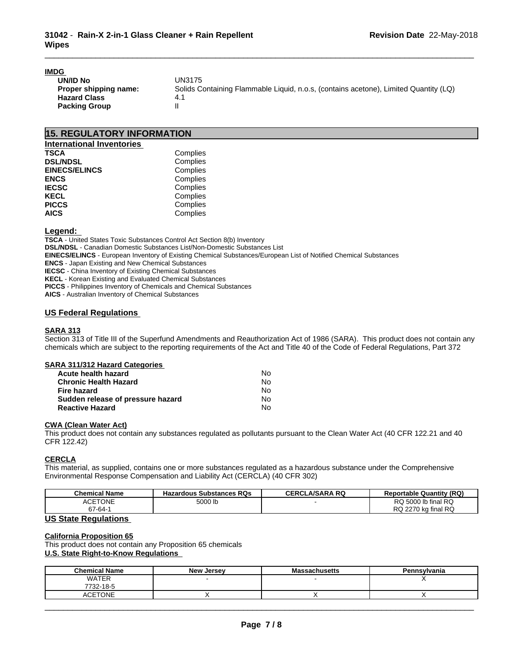#### **IMDG**

| .                     |                                                                                      |
|-----------------------|--------------------------------------------------------------------------------------|
| UN/ID No              | UN3175                                                                               |
| Proper shipping name: | Solids Containing Flammable Liquid, n.o.s. (contains acetone), Limited Quantity (LQ) |
| <b>Hazard Class</b>   |                                                                                      |
| <b>Packing Group</b>  |                                                                                      |

\_\_\_\_\_\_\_\_\_\_\_\_\_\_\_\_\_\_\_\_\_\_\_\_\_\_\_\_\_\_\_\_\_\_\_\_\_\_\_\_\_\_\_\_\_\_\_\_\_\_\_\_\_\_\_\_\_\_\_\_\_\_\_\_\_\_\_\_\_\_\_\_\_\_\_\_\_\_\_\_\_\_\_\_\_\_\_\_\_\_\_\_\_

## **15. REGULATORY INFORMATION**

| <b>International Inventories</b> |          |  |
|----------------------------------|----------|--|
| <b>TSCA</b>                      | Complies |  |
| <b>DSL/NDSL</b>                  | Complies |  |
| <b>EINECS/ELINCS</b>             | Complies |  |
| <b>ENCS</b>                      | Complies |  |
| <b>IECSC</b>                     | Complies |  |
| <b>KECL</b>                      | Complies |  |
| <b>PICCS</b>                     | Complies |  |
| <b>AICS</b>                      | Complies |  |

#### **Legend:**

**TSCA** - United States Toxic Substances Control Act Section 8(b) Inventory **DSL/NDSL** - Canadian Domestic Substances List/Non-Domestic Substances List **EINECS/ELINCS** - European Inventory of Existing Chemical Substances/European List of Notified Chemical Substances **ENCS** - Japan Existing and New Chemical Substances **IECSC** - China Inventory of Existing Chemical Substances **KECL** - Korean Existing and Evaluated Chemical Substances **PICCS** - Philippines Inventory of Chemicals and Chemical Substances **AICS** - Australian Inventory of Chemical Substances

#### **US Federal Regulations**

#### **SARA 313**

Section 313 of Title III of the Superfund Amendments and Reauthorization Act of 1986 (SARA). This product does not contain any chemicals which are subject to the reporting requirements of the Act and Title 40 of the Code of Federal Regulations, Part 372

#### **SARA 311/312 Hazard Categories**

| Acute health hazard               | N٥ |
|-----------------------------------|----|
| <b>Chronic Health Hazard</b>      | No |
| Fire hazard                       | N٥ |
| Sudden release of pressure hazard | No |
| <b>Reactive Hazard</b>            | No |

#### **CWA** (Clean Water Act)

This product does not contain any substances regulated as pollutants pursuant to the Clean Water Act (40 CFR 122.21 and 40 CFR 122.42)

#### **CERCLA**

This material, as supplied, contains one or more substances regulated as a hazardous substance under the Comprehensive Environmental Response Compensation and Liability Act (CERCLA) (40 CFR 302)

| <b>Chemical Name</b>        | <b>Hazardous Substances RQs</b> | <b>CERCLA/SARA RQ</b> | <b>Reportable Quantity (RQ)</b> |
|-----------------------------|---------------------------------|-----------------------|---------------------------------|
| <b>ACETONE</b>              | 5000 lb                         |                       | RQ 5000 lb final RQ             |
| $67 - 64 -$                 |                                 |                       | RQ 2270 kg final RQ             |
| <b>US State Regulations</b> |                                 |                       |                                 |

**California Proposition 65** This product does not contain any Proposition 65 chemicals **U.S. State Right-to-Know Regulations**

| <b>Chemical Name</b> | <b>New Jersey</b> | Massachusetts | Pennsylvania |
|----------------------|-------------------|---------------|--------------|
| <b>WATER</b>         |                   |               |              |
| 7732-18-5            |                   |               |              |
| <b>CETONE</b>        |                   |               |              |